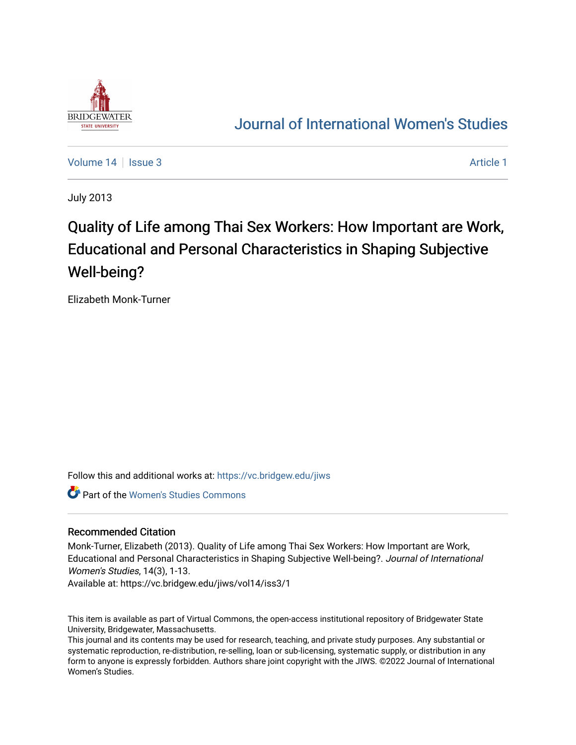

## [Journal of International Women's Studies](https://vc.bridgew.edu/jiws)

[Volume 14](https://vc.bridgew.edu/jiws/vol14) | [Issue 3](https://vc.bridgew.edu/jiws/vol14/iss3) [Article 1](https://vc.bridgew.edu/jiws/vol14/iss3/1) | Article 1 | Article 1 | Article 1 | Article 1 | Article 1 | Article 1 | Article 1 | Article 1 | Article 1 | Article 1 | Article 1 | Article 1 | Article 1 | Article 1 | Article 1 | Article 1

July 2013

# Quality of Life among Thai Sex Workers: How Important are Work, Educational and Personal Characteristics in Shaping Subjective Well-being?

Elizabeth Monk-Turner

Follow this and additional works at: [https://vc.bridgew.edu/jiws](https://vc.bridgew.edu/jiws?utm_source=vc.bridgew.edu%2Fjiws%2Fvol14%2Fiss3%2F1&utm_medium=PDF&utm_campaign=PDFCoverPages)

Part of the [Women's Studies Commons](http://network.bepress.com/hgg/discipline/561?utm_source=vc.bridgew.edu%2Fjiws%2Fvol14%2Fiss3%2F1&utm_medium=PDF&utm_campaign=PDFCoverPages) 

## Recommended Citation

Monk-Turner, Elizabeth (2013). Quality of Life among Thai Sex Workers: How Important are Work, Educational and Personal Characteristics in Shaping Subjective Well-being?. Journal of International Women's Studies, 14(3), 1-13.

Available at: https://vc.bridgew.edu/jiws/vol14/iss3/1

This item is available as part of Virtual Commons, the open-access institutional repository of Bridgewater State University, Bridgewater, Massachusetts.

This journal and its contents may be used for research, teaching, and private study purposes. Any substantial or systematic reproduction, re-distribution, re-selling, loan or sub-licensing, systematic supply, or distribution in any form to anyone is expressly forbidden. Authors share joint copyright with the JIWS. ©2022 Journal of International Women's Studies.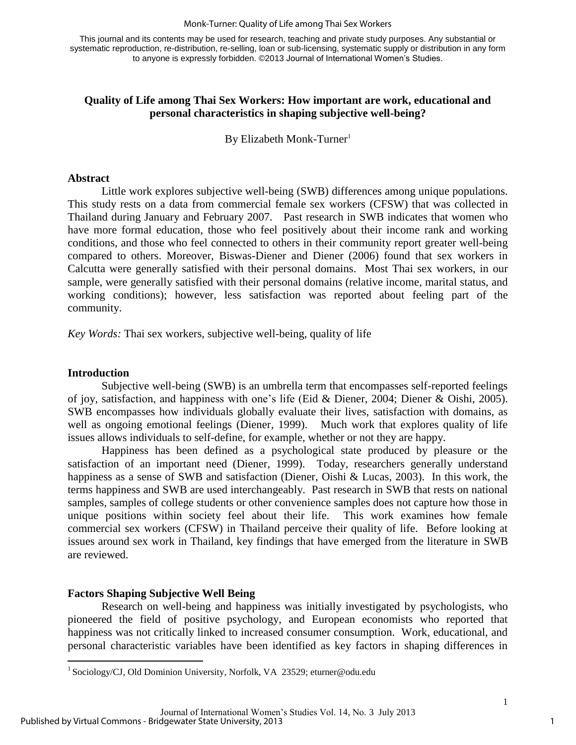#### Monk-Turner: Quality of Life among Thai Sex Workers

This journal and its contents may be used for research, teaching and private study purposes. Any substantial or systematic reproduction, re-distribution, re-selling, loan or sub-licensing, systematic supply or distribution in any form to anyone is expressly forbidden. ©2013 Journal of International Women's Studies.

## **Quality of Life among Thai Sex Workers: How important are work, educational and personal characteristics in shaping subjective well-being?**

By Elizabeth Monk-Turner<sup>1</sup>

## **Abstract**

Little work explores subjective well-being (SWB) differences among unique populations. This study rests on a data from commercial female sex workers (CFSW) that was collected in Thailand during January and February 2007. Past research in SWB indicates that women who have more formal education, those who feel positively about their income rank and working conditions, and those who feel connected to others in their community report greater well-being compared to others. Moreover, Biswas-Diener and Diener (2006) found that sex workers in Calcutta were generally satisfied with their personal domains. Most Thai sex workers, in our sample, were generally satisfied with their personal domains (relative income, marital status, and working conditions); however, less satisfaction was reported about feeling part of the community.

*Key Words:* Thai sex workers, subjective well-being, quality of life

## **Introduction**

 $\overline{a}$ 

Subjective well-being (SWB) is an umbrella term that encompasses self-reported feelings of joy, satisfaction, and happiness with one's life (Eid & Diener, 2004; Diener & Oishi, 2005). SWB encompasses how individuals globally evaluate their lives, satisfaction with domains, as well as ongoing emotional feelings (Diener, 1999). Much work that explores quality of life issues allows individuals to self-define, for example, whether or not they are happy.

Happiness has been defined as a psychological state produced by pleasure or the satisfaction of an important need (Diener, 1999). Today, researchers generally understand happiness as a sense of SWB and satisfaction (Diener, Oishi & Lucas, 2003). In this work, the terms happiness and SWB are used interchangeably. Past research in SWB that rests on national samples, samples of college students or other convenience samples does not capture how those in unique positions within society feel about their life. This work examines how female commercial sex workers (CFSW) in Thailand perceive their quality of life. Before looking at issues around sex work in Thailand, key findings that have emerged from the literature in SWB are reviewed.

## **Factors Shaping Subjective Well Being**

Research on well-being and happiness was initially investigated by psychologists, who pioneered the field of positive psychology, and European economists who reported that happiness was not critically linked to increased consumer consumption. Work, educational, and personal characteristic variables have been identified as key factors in shaping differences in

<sup>&</sup>lt;sup>1</sup> Sociology/CJ, Old Dominion University, Norfolk, VA 23529; eturner@odu.edu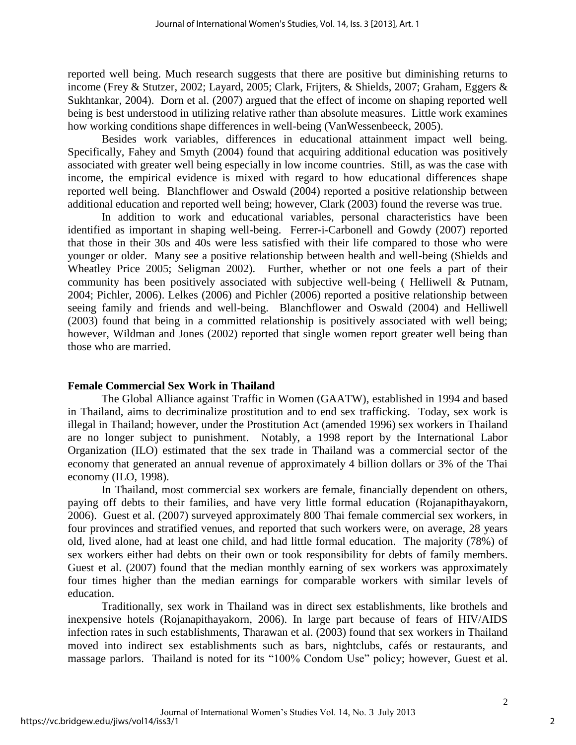reported well being. Much research suggests that there are positive but diminishing returns to income (Frey & Stutzer, 2002; Layard, 2005; Clark, Frijters, & Shields, 2007; Graham, Eggers & Sukhtankar, 2004). Dorn et al. (2007) argued that the effect of income on shaping reported well being is best understood in utilizing relative rather than absolute measures. Little work examines how working conditions shape differences in well-being (VanWessenbeeck, 2005).

Besides work variables, differences in educational attainment impact well being. Specifically, Fahey and Smyth (2004) found that acquiring additional education was positively associated with greater well being especially in low income countries. Still, as was the case with income, the empirical evidence is mixed with regard to how educational differences shape reported well being. Blanchflower and Oswald (2004) reported a positive relationship between additional education and reported well being; however, Clark (2003) found the reverse was true.

In addition to work and educational variables, personal characteristics have been identified as important in shaping well-being. Ferrer-i-Carbonell and Gowdy (2007) reported that those in their 30s and 40s were less satisfied with their life compared to those who were younger or older. Many see a positive relationship between health and well-being (Shields and Wheatley Price 2005; Seligman 2002). Further, whether or not one feels a part of their community has been positively associated with subjective well-being ( Helliwell & Putnam, 2004; Pichler, 2006). Lelkes (2006) and Pichler (2006) reported a positive relationship between seeing family and friends and well-being. Blanchflower and Oswald (2004) and Helliwell (2003) found that being in a committed relationship is positively associated with well being; however, Wildman and Jones (2002) reported that single women report greater well being than those who are married.

## **Female Commercial Sex Work in Thailand**

The Global Alliance against Traffic in Women (GAATW), established in 1994 and based in Thailand, aims to decriminalize prostitution and to end sex trafficking. Today, sex work is illegal in Thailand; however, under the Prostitution Act (amended 1996) sex workers in Thailand are no longer subject to punishment. Notably, a 1998 report by the International Labor Organization (ILO) estimated that the sex trade in Thailand was a commercial sector of the economy that generated an annual revenue of approximately 4 billion dollars or 3% of the Thai economy (ILO, 1998).

In Thailand, most commercial sex workers are female, financially dependent on others, paying off debts to their families, and have very little formal education (Rojanapithayakorn, 2006). Guest et al. (2007) surveyed approximately 800 Thai female commercial sex workers, in four provinces and stratified venues, and reported that such workers were, on average, 28 years old, lived alone, had at least one child, and had little formal education. The majority (78%) of sex workers either had debts on their own or took responsibility for debts of family members. Guest et al. (2007) found that the median monthly earning of sex workers was approximately four times higher than the median earnings for comparable workers with similar levels of education.

Traditionally, sex work in Thailand was in direct sex establishments, like brothels and inexpensive hotels (Rojanapithayakorn, 2006). In large part because of fears of HIV/AIDS infection rates in such establishments, Tharawan et al. (2003) found that sex workers in Thailand moved into indirect sex establishments such as bars, nightclubs, cafés or restaurants, and massage parlors. Thailand is noted for its "100% Condom Use" policy; however, Guest et al.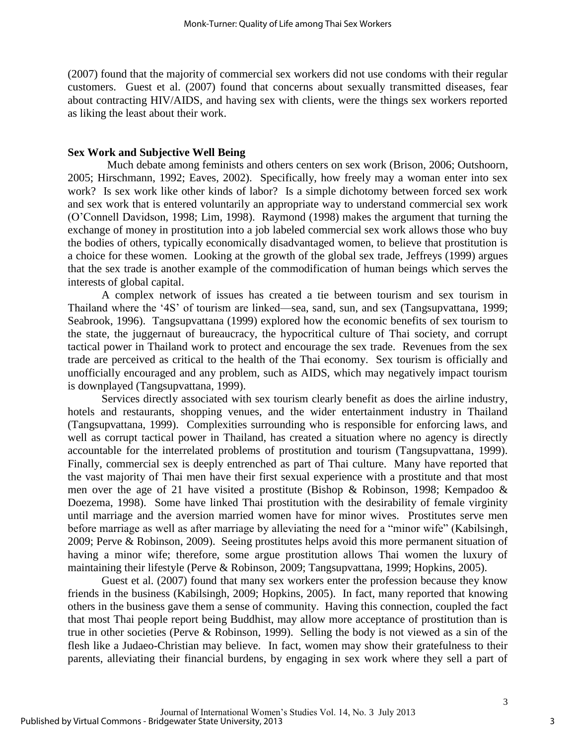(2007) found that the majority of commercial sex workers did not use condoms with their regular customers. Guest et al. (2007) found that concerns about sexually transmitted diseases, fear about contracting HIV/AIDS, and having sex with clients, were the things sex workers reported as liking the least about their work.

### **Sex Work and Subjective Well Being**

 Much debate among feminists and others centers on sex work (Brison, 2006; Outshoorn, 2005; Hirschmann, 1992; Eaves, 2002). Specifically, how freely may a woman enter into sex work? Is sex work like other kinds of labor? Is a simple dichotomy between forced sex work and sex work that is entered voluntarily an appropriate way to understand commercial sex work (O'Connell Davidson, 1998; Lim, 1998). Raymond (1998) makes the argument that turning the exchange of money in prostitution into a job labeled commercial sex work allows those who buy the bodies of others, typically economically disadvantaged women, to believe that prostitution is a choice for these women. Looking at the growth of the global sex trade, Jeffreys (1999) argues that the sex trade is another example of the commodification of human beings which serves the interests of global capital.

A complex network of issues has created a tie between tourism and sex tourism in Thailand where the '4S' of tourism are linked—sea, sand, sun, and sex (Tangsupvattana, 1999; Seabrook, 1996). Tangsupvattana (1999) explored how the economic benefits of sex tourism to the state, the juggernaut of bureaucracy, the hypocritical culture of Thai society, and corrupt tactical power in Thailand work to protect and encourage the sex trade. Revenues from the sex trade are perceived as critical to the health of the Thai economy. Sex tourism is officially and unofficially encouraged and any problem, such as AIDS, which may negatively impact tourism is downplayed (Tangsupvattana, 1999).

Services directly associated with sex tourism clearly benefit as does the airline industry, hotels and restaurants, shopping venues, and the wider entertainment industry in Thailand (Tangsupvattana, 1999). Complexities surrounding who is responsible for enforcing laws, and well as corrupt tactical power in Thailand, has created a situation where no agency is directly accountable for the interrelated problems of prostitution and tourism (Tangsupvattana, 1999). Finally, commercial sex is deeply entrenched as part of Thai culture. Many have reported that the vast majority of Thai men have their first sexual experience with a prostitute and that most men over the age of 21 have visited a prostitute (Bishop & Robinson, 1998; Kempadoo & Doezema, 1998). Some have linked Thai prostitution with the desirability of female virginity until marriage and the aversion married women have for minor wives. Prostitutes serve men before marriage as well as after marriage by alleviating the need for a "minor wife" (Kabilsingh, 2009; Perve & Robinson, 2009). Seeing prostitutes helps avoid this more permanent situation of having a minor wife; therefore, some argue prostitution allows Thai women the luxury of maintaining their lifestyle (Perve & Robinson, 2009; Tangsupvattana, 1999; Hopkins, 2005).

Guest et al. (2007) found that many sex workers enter the profession because they know friends in the business (Kabilsingh, 2009; Hopkins, 2005). In fact, many reported that knowing others in the business gave them a sense of community. Having this connection, coupled the fact that most Thai people report being Buddhist, may allow more acceptance of prostitution than is true in other societies (Perve & Robinson, 1999). Selling the body is not viewed as a sin of the flesh like a Judaeo-Christian may believe. In fact, women may show their gratefulness to their parents, alleviating their financial burdens, by engaging in sex work where they sell a part of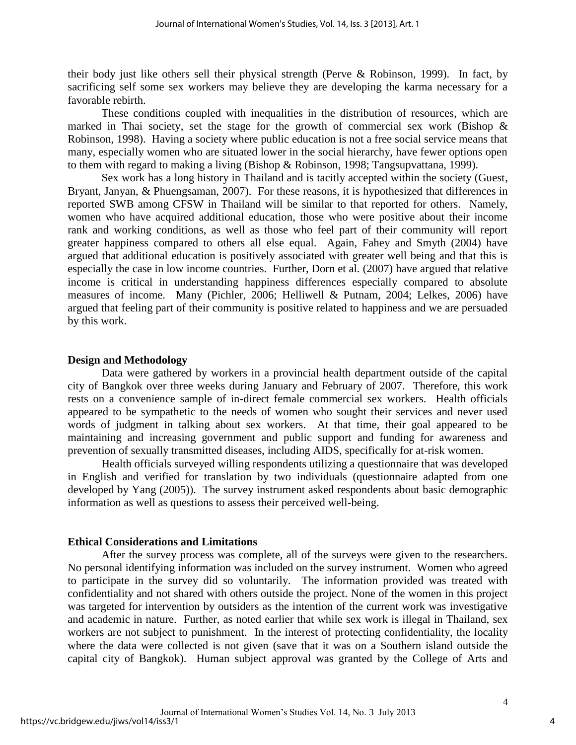their body just like others sell their physical strength (Perve & Robinson, 1999). In fact, by sacrificing self some sex workers may believe they are developing the karma necessary for a favorable rebirth.

These conditions coupled with inequalities in the distribution of resources, which are marked in Thai society, set the stage for the growth of commercial sex work (Bishop  $\&$ Robinson, 1998). Having a society where public education is not a free social service means that many, especially women who are situated lower in the social hierarchy, have fewer options open to them with regard to making a living (Bishop & Robinson, 1998; Tangsupvattana, 1999).

Sex work has a long history in Thailand and is tacitly accepted within the society (Guest, Bryant, Janyan, & Phuengsaman, 2007). For these reasons, it is hypothesized that differences in reported SWB among CFSW in Thailand will be similar to that reported for others. Namely, women who have acquired additional education, those who were positive about their income rank and working conditions, as well as those who feel part of their community will report greater happiness compared to others all else equal. Again, Fahey and Smyth (2004) have argued that additional education is positively associated with greater well being and that this is especially the case in low income countries. Further, Dorn et al. (2007) have argued that relative income is critical in understanding happiness differences especially compared to absolute measures of income. Many (Pichler, 2006; Helliwell & Putnam, 2004; Lelkes, 2006) have argued that feeling part of their community is positive related to happiness and we are persuaded by this work.

#### **Design and Methodology**

Data were gathered by workers in a provincial health department outside of the capital city of Bangkok over three weeks during January and February of 2007. Therefore, this work rests on a convenience sample of in-direct female commercial sex workers. Health officials appeared to be sympathetic to the needs of women who sought their services and never used words of judgment in talking about sex workers. At that time, their goal appeared to be maintaining and increasing government and public support and funding for awareness and prevention of sexually transmitted diseases, including AIDS, specifically for at-risk women.

Health officials surveyed willing respondents utilizing a questionnaire that was developed in English and verified for translation by two individuals (questionnaire adapted from one developed by Yang (2005)). The survey instrument asked respondents about basic demographic information as well as questions to assess their perceived well-being.

#### **Ethical Considerations and Limitations**

After the survey process was complete, all of the surveys were given to the researchers. No personal identifying information was included on the survey instrument. Women who agreed to participate in the survey did so voluntarily. The information provided was treated with confidentiality and not shared with others outside the project. None of the women in this project was targeted for intervention by outsiders as the intention of the current work was investigative and academic in nature. Further, as noted earlier that while sex work is illegal in Thailand, sex workers are not subject to punishment. In the interest of protecting confidentiality, the locality where the data were collected is not given (save that it was on a Southern island outside the capital city of Bangkok). Human subject approval was granted by the College of Arts and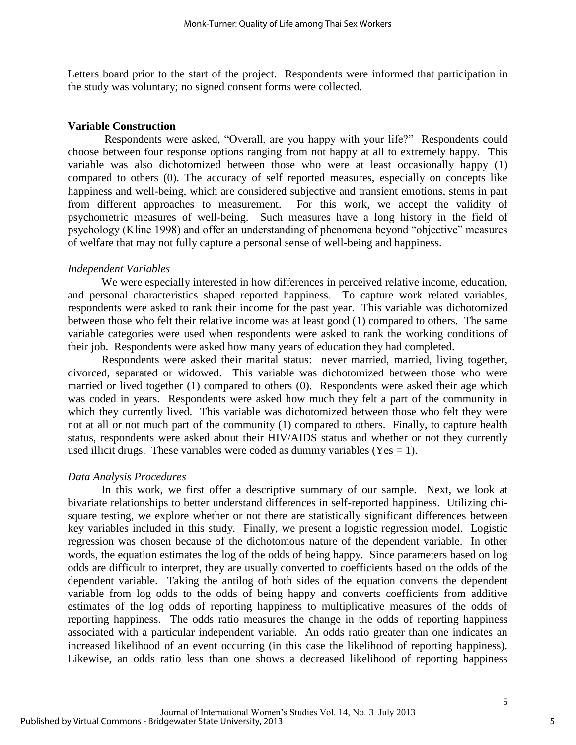Letters board prior to the start of the project. Respondents were informed that participation in the study was voluntary; no signed consent forms were collected.

#### **Variable Construction**

Respondents were asked, "Overall, are you happy with your life?" Respondents could choose between four response options ranging from not happy at all to extremely happy. This variable was also dichotomized between those who were at least occasionally happy (1) compared to others (0). The accuracy of self reported measures, especially on concepts like happiness and well-being, which are considered subjective and transient emotions, stems in part from different approaches to measurement. For this work, we accept the validity of psychometric measures of well-being. Such measures have a long history in the field of psychology (Kline 1998) and offer an understanding of phenomena beyond "objective" measures of welfare that may not fully capture a personal sense of well-being and happiness.

## *Independent Variables*

We were especially interested in how differences in perceived relative income, education, and personal characteristics shaped reported happiness. To capture work related variables, respondents were asked to rank their income for the past year. This variable was dichotomized between those who felt their relative income was at least good (1) compared to others. The same variable categories were used when respondents were asked to rank the working conditions of their job. Respondents were asked how many years of education they had completed.

Respondents were asked their marital status: never married, married, living together, divorced, separated or widowed. This variable was dichotomized between those who were married or lived together (1) compared to others (0). Respondents were asked their age which was coded in years. Respondents were asked how much they felt a part of the community in which they currently lived. This variable was dichotomized between those who felt they were not at all or not much part of the community (1) compared to others. Finally, to capture health status, respondents were asked about their HIV/AIDS status and whether or not they currently used illicit drugs. These variables were coded as dummy variables (Yes  $= 1$ ).

## *Data Analysis Procedures*

In this work, we first offer a descriptive summary of our sample. Next, we look at bivariate relationships to better understand differences in self-reported happiness. Utilizing chisquare testing, we explore whether or not there are statistically significant differences between key variables included in this study. Finally, we present a logistic regression model. Logistic regression was chosen because of the dichotomous nature of the dependent variable. In other words, the equation estimates the log of the odds of being happy. Since parameters based on log odds are difficult to interpret, they are usually converted to coefficients based on the odds of the dependent variable. Taking the antilog of both sides of the equation converts the dependent variable from log odds to the odds of being happy and converts coefficients from additive estimates of the log odds of reporting happiness to multiplicative measures of the odds of reporting happiness. The odds ratio measures the change in the odds of reporting happiness associated with a particular independent variable. An odds ratio greater than one indicates an increased likelihood of an event occurring (in this case the likelihood of reporting happiness). Likewise, an odds ratio less than one shows a decreased likelihood of reporting happiness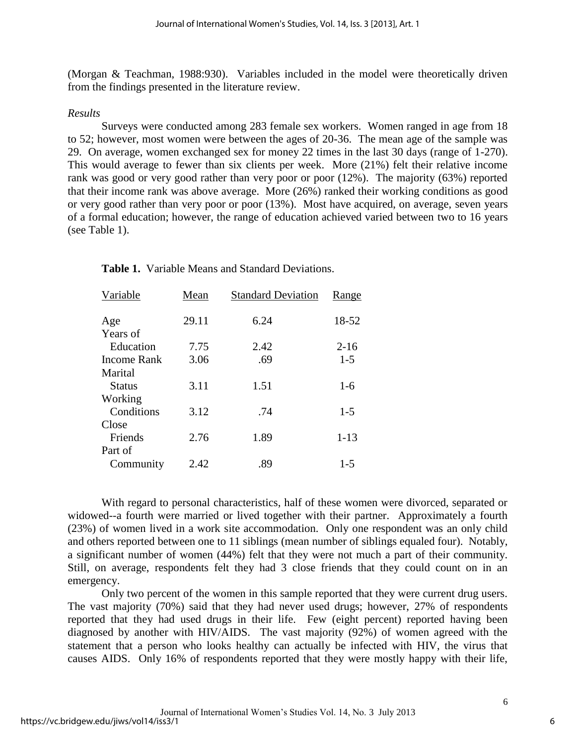(Morgan & Teachman, 1988:930). Variables included in the model were theoretically driven from the findings presented in the literature review.

## *Results*

Surveys were conducted among 283 female sex workers. Women ranged in age from 18 to 52; however, most women were between the ages of 20-36. The mean age of the sample was 29. On average, women exchanged sex for money 22 times in the last 30 days (range of 1-270). This would average to fewer than six clients per week. More (21%) felt their relative income rank was good or very good rather than very poor or poor (12%). The majority (63%) reported that their income rank was above average. More (26%) ranked their working conditions as good or very good rather than very poor or poor (13%). Most have acquired, on average, seven years of a formal education; however, the range of education achieved varied between two to 16 years (see Table 1).

| Variable      | Mean  | <b>Standard Deviation</b> | Range    |
|---------------|-------|---------------------------|----------|
| Age           | 29.11 | 6.24                      | 18-52    |
| Years of      |       |                           |          |
| Education     | 7.75  | 2.42                      | $2 - 16$ |
| Income Rank   | 3.06  | .69                       | $1 - 5$  |
| Marital       |       |                           |          |
| <b>Status</b> | 3.11  | 1.51                      | $1 - 6$  |
| Working       |       |                           |          |
| Conditions    | 3.12  | .74                       | $1 - 5$  |
| Close         |       |                           |          |
| Friends       | 2.76  | 1.89                      | $1 - 13$ |
| Part of       |       |                           |          |
| Community     | 2.42  | .89                       | $1 - 5$  |

**Table 1.** Variable Means and Standard Deviations.

With regard to personal characteristics, half of these women were divorced, separated or widowed--a fourth were married or lived together with their partner. Approximately a fourth (23%) of women lived in a work site accommodation. Only one respondent was an only child and others reported between one to 11 siblings (mean number of siblings equaled four). Notably, a significant number of women (44%) felt that they were not much a part of their community. Still, on average, respondents felt they had 3 close friends that they could count on in an emergency.

Only two percent of the women in this sample reported that they were current drug users. The vast majority (70%) said that they had never used drugs; however, 27% of respondents reported that they had used drugs in their life. Few (eight percent) reported having been diagnosed by another with HIV/AIDS. The vast majority (92%) of women agreed with the statement that a person who looks healthy can actually be infected with HIV, the virus that causes AIDS. Only 16% of respondents reported that they were mostly happy with their life,

6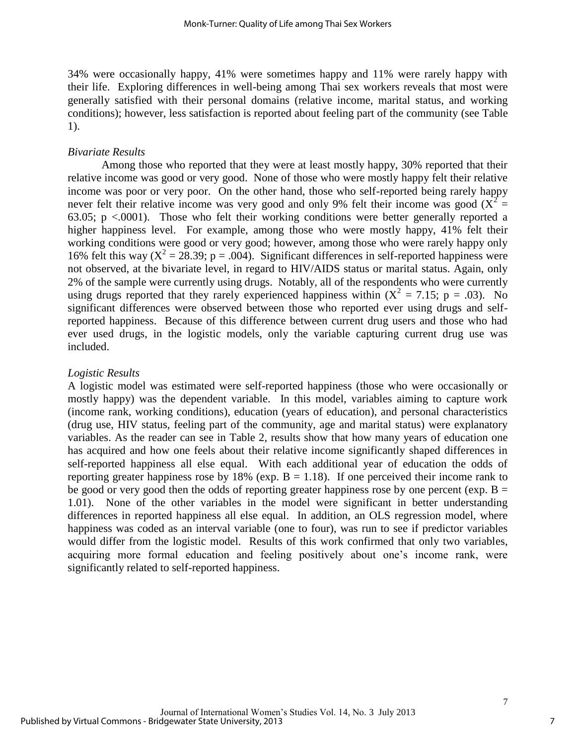34% were occasionally happy, 41% were sometimes happy and 11% were rarely happy with their life. Exploring differences in well-being among Thai sex workers reveals that most were generally satisfied with their personal domains (relative income, marital status, and working conditions); however, less satisfaction is reported about feeling part of the community (see Table 1).

## *Bivariate Results*

Among those who reported that they were at least mostly happy, 30% reported that their relative income was good or very good. None of those who were mostly happy felt their relative income was poor or very poor. On the other hand, those who self-reported being rarely happy never felt their relative income was very good and only 9% felt their income was good  $(X^2 =$ 63.05;  $p \lt 0.0001$ ). Those who felt their working conditions were better generally reported a higher happiness level. For example, among those who were mostly happy, 41% felt their working conditions were good or very good; however, among those who were rarely happy only 16% felt this way ( $X^2 = 28.39$ ; p = .004). Significant differences in self-reported happiness were not observed, at the bivariate level, in regard to HIV/AIDS status or marital status. Again, only 2% of the sample were currently using drugs. Notably, all of the respondents who were currently using drugs reported that they rarely experienced happiness within  $(X^2 = 7.15; p = .03)$ . No significant differences were observed between those who reported ever using drugs and selfreported happiness. Because of this difference between current drug users and those who had ever used drugs, in the logistic models, only the variable capturing current drug use was included.

## *Logistic Results*

A logistic model was estimated were self-reported happiness (those who were occasionally or mostly happy) was the dependent variable. In this model, variables aiming to capture work (income rank, working conditions), education (years of education), and personal characteristics (drug use, HIV status, feeling part of the community, age and marital status) were explanatory variables. As the reader can see in Table 2, results show that how many years of education one has acquired and how one feels about their relative income significantly shaped differences in self-reported happiness all else equal. With each additional year of education the odds of reporting greater happiness rose by 18% (exp.  $B = 1.18$ ). If one perceived their income rank to be good or very good then the odds of reporting greater happiness rose by one percent (exp.  $B =$ 1.01). None of the other variables in the model were significant in better understanding differences in reported happiness all else equal. In addition, an OLS regression model, where happiness was coded as an interval variable (one to four), was run to see if predictor variables would differ from the logistic model. Results of this work confirmed that only two variables, acquiring more formal education and feeling positively about one's income rank, were significantly related to self-reported happiness.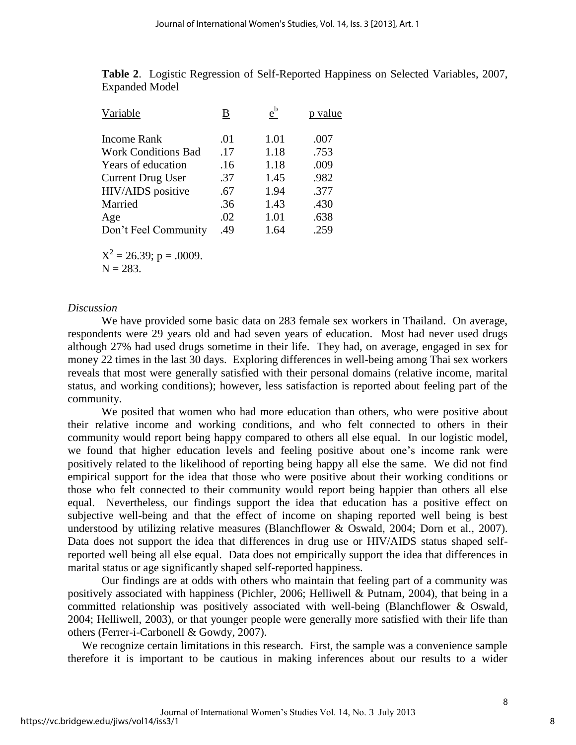**Table 2**. Logistic Regression of Self-Reported Happiness on Selected Variables, 2007, Expanded Model

| Variable                      | B   | $e^b$ | p value |
|-------------------------------|-----|-------|---------|
| <b>Income Rank</b>            | .01 | 1.01  | .007    |
| <b>Work Conditions Bad</b>    | .17 | 1.18  | .753    |
| Years of education            | .16 | 1.18  | .009    |
| <b>Current Drug User</b>      | .37 | 1.45  | .982    |
| HIV/AIDS positive             | .67 | 1.94  | .377    |
| Married                       | .36 | 1.43  | .430    |
| Age                           | .02 | 1.01  | .638    |
| Don't Feel Community          | .49 | 1.64  | .259    |
| ${\bf V}^2$ – 26.30; n – 0000 |     |       |         |

 $X^2 = 26.39$ ; p = .0009.

## $N = 283$ .

## *Discussion*

We have provided some basic data on 283 female sex workers in Thailand. On average, respondents were 29 years old and had seven years of education. Most had never used drugs although 27% had used drugs sometime in their life. They had, on average, engaged in sex for money 22 times in the last 30 days. Exploring differences in well-being among Thai sex workers reveals that most were generally satisfied with their personal domains (relative income, marital status, and working conditions); however, less satisfaction is reported about feeling part of the community.

We posited that women who had more education than others, who were positive about their relative income and working conditions, and who felt connected to others in their community would report being happy compared to others all else equal. In our logistic model, we found that higher education levels and feeling positive about one's income rank were positively related to the likelihood of reporting being happy all else the same. We did not find empirical support for the idea that those who were positive about their working conditions or those who felt connected to their community would report being happier than others all else equal. Nevertheless, our findings support the idea that education has a positive effect on subjective well-being and that the effect of income on shaping reported well being is best understood by utilizing relative measures (Blanchflower & Oswald, 2004; Dorn et al., 2007). Data does not support the idea that differences in drug use or HIV/AIDS status shaped selfreported well being all else equal. Data does not empirically support the idea that differences in marital status or age significantly shaped self-reported happiness.

Our findings are at odds with others who maintain that feeling part of a community was positively associated with happiness (Pichler, 2006; Helliwell & Putnam, 2004), that being in a committed relationship was positively associated with well-being (Blanchflower & Oswald, 2004; Helliwell, 2003), or that younger people were generally more satisfied with their life than others (Ferrer-i-Carbonell & Gowdy, 2007).

We recognize certain limitations in this research. First, the sample was a convenience sample therefore it is important to be cautious in making inferences about our results to a wider

8

8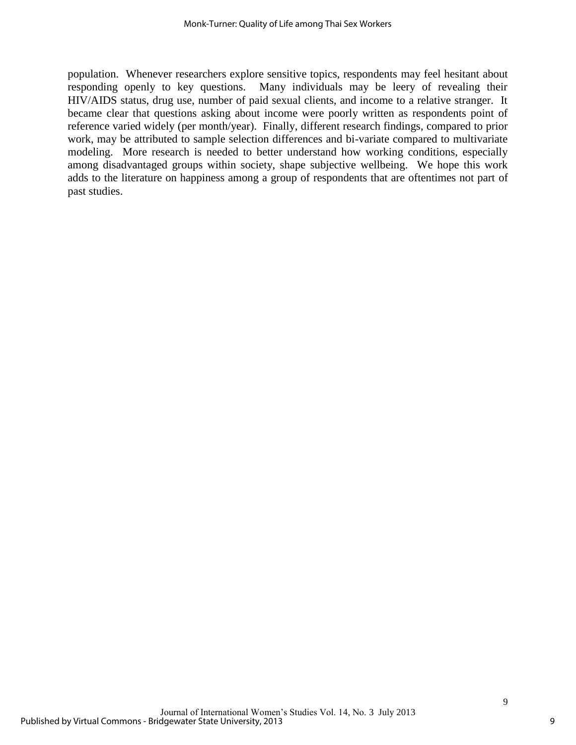population. Whenever researchers explore sensitive topics, respondents may feel hesitant about responding openly to key questions. Many individuals may be leery of revealing their HIV/AIDS status, drug use, number of paid sexual clients, and income to a relative stranger. It became clear that questions asking about income were poorly written as respondents point of reference varied widely (per month/year). Finally, different research findings, compared to prior work, may be attributed to sample selection differences and bi-variate compared to multivariate modeling. More research is needed to better understand how working conditions, especially among disadvantaged groups within society, shape subjective wellbeing. We hope this work adds to the literature on happiness among a group of respondents that are oftentimes not part of past studies.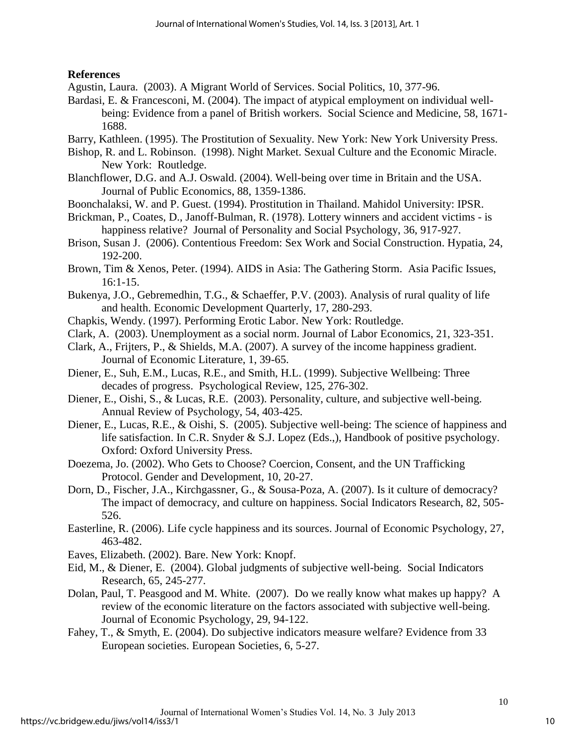## **References**

Agustin, Laura. (2003). A Migrant World of Services. Social Politics, 10, 377-96.

- Bardasi, E. & Francesconi, M. (2004). The impact of atypical employment on individual wellbeing: Evidence from a panel of British workers. Social Science and Medicine, 58, 1671- 1688.
- Barry, Kathleen. (1995). The Prostitution of Sexuality. New York: New York University Press.
- Bishop, R. and L. Robinson. (1998). Night Market. Sexual Culture and the Economic Miracle. New York: Routledge.
- Blanchflower, D.G. and A.J. Oswald. (2004). Well-being over time in Britain and the USA. Journal of Public Economics, 88, 1359-1386.
- Boonchalaksi, W. and P. Guest. (1994). Prostitution in Thailand. Mahidol University: IPSR.
- Brickman, P., Coates, D., Janoff-Bulman, R. (1978). Lottery winners and accident victims is happiness relative? Journal of Personality and Social Psychology, 36, 917-927.
- Brison, Susan J. (2006). Contentious Freedom: Sex Work and Social Construction. Hypatia, 24, 192-200.
- Brown, Tim & Xenos, Peter. (1994). AIDS in Asia: The Gathering Storm. Asia Pacific Issues, 16:1-15.
- Bukenya, J.O., Gebremedhin, T.G., & Schaeffer, P.V. (2003). Analysis of rural quality of life and health. Economic Development Quarterly, 17, 280-293.
- Chapkis, Wendy. (1997). Performing Erotic Labor. New York: Routledge.
- Clark, A. (2003). Unemployment as a social norm. Journal of Labor Economics, 21, 323-351.
- Clark, A., Frijters, P., & Shields, M.A. (2007). A survey of the income happiness gradient. Journal of Economic Literature, 1, 39-65.
- Diener, E., Suh, E.M., Lucas, R.E., and Smith, H.L. (1999). Subjective Wellbeing: Three decades of progress. Psychological Review, 125, 276-302.
- Diener, E., Oishi, S., & Lucas, R.E. (2003). Personality, culture, and subjective well-being. Annual Review of Psychology, 54, 403-425.
- Diener, E., Lucas, R.E., & Oishi, S. (2005). Subjective well-being: The science of happiness and life satisfaction. In C.R. Snyder & S.J. Lopez (Eds.,), Handbook of positive psychology. Oxford: Oxford University Press.
- Doezema, Jo. (2002). Who Gets to Choose? Coercion, Consent, and the UN Trafficking Protocol. Gender and Development, 10, 20-27.
- Dorn, D., Fischer, J.A., Kirchgassner, G., & Sousa-Poza, A. (2007). Is it culture of democracy? The impact of democracy, and culture on happiness. Social Indicators Research, 82, 505- 526.
- Easterline, R. (2006). Life cycle happiness and its sources. Journal of Economic Psychology, 27, 463-482.
- Eaves, Elizabeth. (2002). Bare. New York: Knopf.
- Eid, M., & Diener, E. (2004). Global judgments of subjective well-being. Social Indicators Research, 65, 245-277.
- Dolan, Paul, T. Peasgood and M. White. (2007). Do we really know what makes up happy? A review of the economic literature on the factors associated with subjective well-being. Journal of Economic Psychology, 29, 94-122.
- Fahey, T., & Smyth, E. (2004). Do subjective indicators measure welfare? Evidence from 33 European societies. European Societies, 6, 5-27.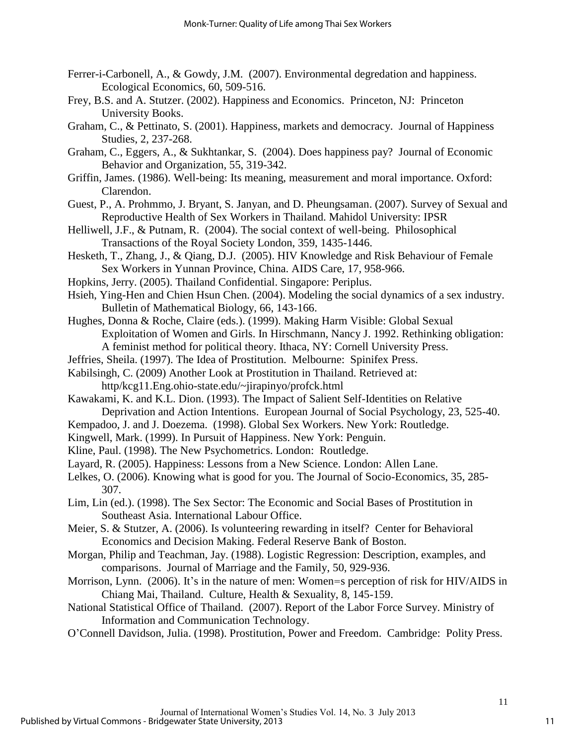- Ferrer-i-Carbonell, A., & Gowdy, J.M. (2007). Environmental degredation and happiness. Ecological Economics, 60, 509-516.
- Frey, B.S. and A. Stutzer. (2002). Happiness and Economics. Princeton, NJ: Princeton University Books.
- Graham, C., & Pettinato, S. (2001). Happiness, markets and democracy. Journal of Happiness Studies, 2, 237-268.
- Graham, C., Eggers, A., & Sukhtankar, S. (2004). Does happiness pay? Journal of Economic Behavior and Organization, 55, 319-342.
- Griffin, James. (1986). Well-being: Its meaning, measurement and moral importance. Oxford: Clarendon.
- Guest, P., A. Prohmmo, J. Bryant, S. Janyan, and D. Pheungsaman. (2007). Survey of Sexual and Reproductive Health of Sex Workers in Thailand. Mahidol University: IPSR
- Helliwell, J.F., & Putnam, R. (2004). The social context of well-being. Philosophical Transactions of the Royal Society London, 359, 1435-1446.
- Hesketh, T., Zhang, J., & Qiang, D.J. (2005). HIV Knowledge and Risk Behaviour of Female Sex Workers in Yunnan Province, China. AIDS Care, 17, 958-966.
- Hopkins, Jerry. (2005). Thailand Confidential. Singapore: Periplus.
- Hsieh, Ying-Hen and Chien Hsun Chen. (2004). Modeling the social dynamics of a sex industry. Bulletin of Mathematical Biology, 66, 143-166.
- Hughes, Donna & Roche, Claire (eds.). (1999). Making Harm Visible: Global Sexual Exploitation of Women and Girls. In Hirschmann, Nancy J. 1992. Rethinking obligation: A feminist method for political theory. Ithaca, NY: Cornell University Press.
- Jeffries, Sheila. (1997). The Idea of Prostitution. Melbourne: Spinifex Press.
- Kabilsingh, C. (2009) Another Look at Prostitution in Thailand. Retrieved at:
	- http/kcg11.Eng.ohio-state.edu/~jirapinyo/profck.html
- Kawakami, K. and K.L. Dion. (1993). The Impact of Salient Self-Identities on Relative Deprivation and Action Intentions. European Journal of Social Psychology, 23, 525-40.
- Kempadoo, J. and J. Doezema. (1998). Global Sex Workers. New York: Routledge.
- Kingwell, Mark. (1999). In Pursuit of Happiness. New York: Penguin.
- Kline, Paul. (1998). The New Psychometrics. London: Routledge.
- Layard, R. (2005). Happiness: Lessons from a New Science. London: Allen Lane.
- Lelkes, O. (2006). Knowing what is good for you. The Journal of Socio-Economics, 35, 285- 307.
- Lim, Lin (ed.). (1998). The Sex Sector: The Economic and Social Bases of Prostitution in Southeast Asia. International Labour Office.
- Meier, S. & Stutzer, A. (2006). Is volunteering rewarding in itself? Center for Behavioral Economics and Decision Making. Federal Reserve Bank of Boston.
- Morgan, Philip and Teachman, Jay. (1988). Logistic Regression: Description, examples, and comparisons. Journal of Marriage and the Family, 50, 929-936.
- Morrison, Lynn. (2006). It's in the nature of men: Women=s perception of risk for HIV/AIDS in Chiang Mai, Thailand. Culture, Health & Sexuality, 8, 145-159.
- National Statistical Office of Thailand. (2007). Report of the Labor Force Survey. Ministry of Information and Communication Technology.
- O'Connell Davidson, Julia. (1998). Prostitution, Power and Freedom. Cambridge: Polity Press.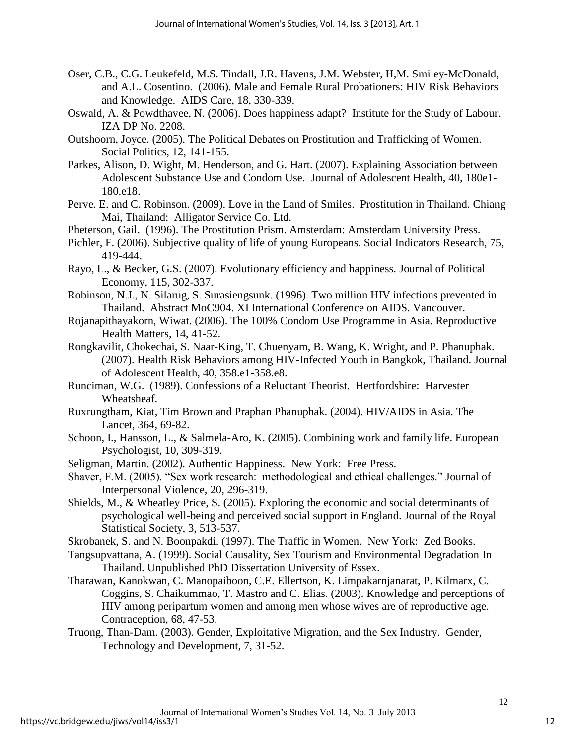- Oser, C.B., C.G. Leukefeld, M.S. Tindall, J.R. Havens, J.M. Webster, H,M. Smiley-McDonald, and A.L. Cosentino. (2006). Male and Female Rural Probationers: HIV Risk Behaviors and Knowledge. AIDS Care, 18, 330-339.
- Oswald, A. & Powdthavee, N. (2006). Does happiness adapt? Institute for the Study of Labour. IZA DP No. 2208.
- Outshoorn, Joyce. (2005). The Political Debates on Prostitution and Trafficking of Women. Social Politics, 12, 141-155.
- Parkes, Alison, D. Wight, M. Henderson, and G. Hart. (2007). Explaining Association between Adolescent Substance Use and Condom Use. Journal of Adolescent Health, 40, 180e1- 180.e18.
- Perve. E. and C. Robinson. (2009). Love in the Land of Smiles. Prostitution in Thailand. Chiang Mai, Thailand: Alligator Service Co. Ltd.
- Pheterson, Gail. (1996). The Prostitution Prism. Amsterdam: Amsterdam University Press.

Pichler, F. (2006). Subjective quality of life of young Europeans. Social Indicators Research, 75, 419-444.

- Rayo, L., & Becker, G.S. (2007). Evolutionary efficiency and happiness. Journal of Political Economy, 115, 302-337.
- Robinson, N.J., N. Silarug, S. Surasiengsunk. (1996). Two million HIV infections prevented in Thailand. Abstract MoC904. XI International Conference on AIDS. Vancouver.
- Rojanapithayakorn, Wiwat. (2006). The 100% Condom Use Programme in Asia. Reproductive Health Matters, 14, 41-52.
- Rongkavilit, Chokechai, S. Naar-King, T. Chuenyam, B. Wang, K. Wright, and P. Phanuphak. (2007). Health Risk Behaviors among HIV-Infected Youth in Bangkok, Thailand. Journal of Adolescent Health, 40, 358.e1-358.e8.
- Runciman, W.G. (1989). Confessions of a Reluctant Theorist. Hertfordshire: Harvester Wheatsheaf.
- Ruxrungtham, Kiat, Tim Brown and Praphan Phanuphak. (2004). HIV/AIDS in Asia. The Lancet, 364, 69-82.
- Schoon, I., Hansson, L., & Salmela-Aro, K. (2005). Combining work and family life. European Psychologist, 10, 309-319.
- Seligman, Martin. (2002). Authentic Happiness. New York: Free Press.
- Shaver, F.M. (2005). "Sex work research: methodological and ethical challenges." Journal of Interpersonal Violence, 20, 296-319.
- Shields, M., & Wheatley Price, S. (2005). Exploring the economic and social determinants of psychological well-being and perceived social support in England. Journal of the Royal Statistical Society, 3, 513-537.
- Skrobanek, S. and N. Boonpakdi. (1997). The Traffic in Women. New York: Zed Books.
- Tangsupvattana, A. (1999). Social Causality, Sex Tourism and Environmental Degradation In Thailand. Unpublished PhD Dissertation University of Essex.
- Tharawan, Kanokwan, C. Manopaiboon, C.E. Ellertson, K. Limpakarnjanarat, P. Kilmarx, C. Coggins, S. Chaikummao, T. Mastro and C. Elias. (2003). Knowledge and perceptions of HIV among peripartum women and among men whose wives are of reproductive age. Contraception, 68, 47-53.
- Truong, Than-Dam. (2003). Gender, Exploitative Migration, and the Sex Industry. Gender, Technology and Development, 7, 31-52.